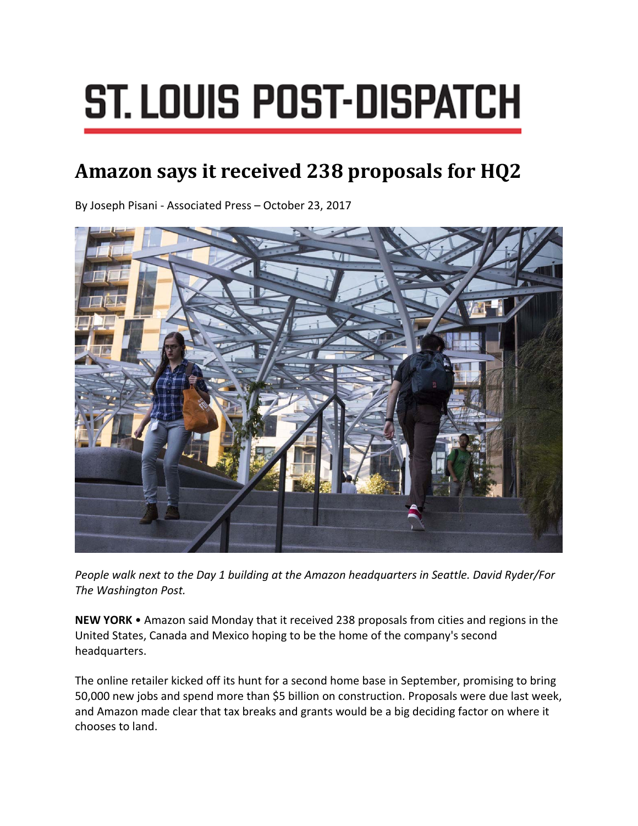## **ST. LOUIS POST-DISPATCH**

## **Amazon says it received 238 proposals for HQ2**

By Joseph Pisani ‐ Associated Press – October 23, 2017



*People walk next to the Day 1 building at the Amazon headquarters in Seattle. David Ryder/For The Washington Post.*

**NEW YORK** • Amazon said Monday that it received 238 proposals from cities and regions in the United States, Canada and Mexico hoping to be the home of the company's second headquarters.

The online retailer kicked off its hunt for a second home base in September, promising to bring 50,000 new jobs and spend more than \$5 billion on construction. Proposals were due last week, and Amazon made clear that tax breaks and grants would be a big deciding factor on where it chooses to land.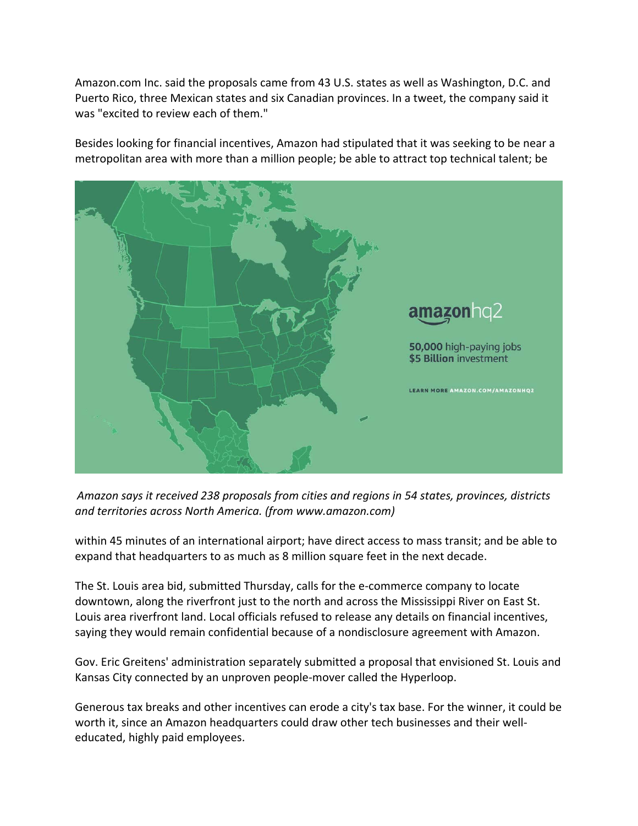Amazon.com Inc. said the proposals came from 43 U.S. states as well as Washington, D.C. and Puerto Rico, three Mexican states and six Canadian provinces. In a tweet, the company said it was "excited to review each of them."

Besides looking for financial incentives, Amazon had stipulated that it was seeking to be near a metropolitan area with more than a million people; be able to attract top technical talent; be



*Amazon says it received 238 proposals from cities and regions in 54 states, provinces, districts and territories across North America. (from www.amazon.com)*

within 45 minutes of an international airport; have direct access to mass transit; and be able to expand that headquarters to as much as 8 million square feet in the next decade.

The St. Louis area bid, submitted Thursday, calls for the e‐commerce company to locate downtown, along the riverfront just to the north and across the Mississippi River on East St. Louis area riverfront land. Local officials refused to release any details on financial incentives, saying they would remain confidential because of a nondisclosure agreement with Amazon.

Gov. Eric Greitens' administration separately submitted a proposal that envisioned St. Louis and Kansas City connected by an unproven people‐mover called the Hyperloop.

Generous tax breaks and other incentives can erode a city's tax base. For the winner, it could be worth it, since an Amazon headquarters could draw other tech businesses and their welleducated, highly paid employees.